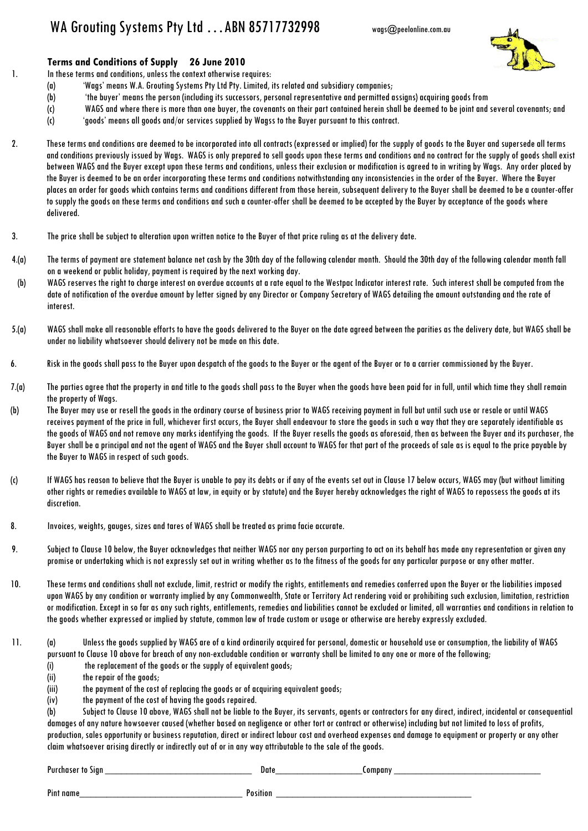## WA Grouting Systems Pty Ltd ... ABN 85717732998 wags@peelonline.com.au

**Terms and Conditions of Supply 26 June 2010** 

1. In these terms and conditions, unless the context otherwise requires:

- (a) 'Wags' means W.A. Grouting Systems Pty Ltd Pty. Limited, its related and subsidiary companies;
- (b) 'the buyer' means the person (including its successors, personal representative and permitted assigns) acquiring goods from
- (c) WAGS and where there is more than one buyer, the covenants on their part contained herein shall be deemed to be joint and several covenants; and
- (c) 'goods' means all goods and/or services supplied by Wagss to the Buyer pursuant to this contract.
- 2. These terms and conditions are deemed to be incorporated into all contracts (expressed or implied) for the supply of goods to the Buyer and supersede all terms and conditions previously issued by Wags. WAGS is only prepared to sell goods upon these terms and conditions and no contract for the supply of goods shall exist between WAGS and the Buyer except upon these terms and conditions, unless their exclusion or modification is agreed to in writing by Wags. Any order placed by the Buyer is deemed to be an order incorporating these terms and conditions notwithstanding any inconsistencies in the order of the Buyer. Where the Buyer places an order for goods which contains terms and conditions different from those herein, subsequent delivery to the Buyer shall be deemed to be a counter-offer to supply the goods on these terms and conditions and such a counter-offer shall be deemed to be accepted by the Buyer by acceptance of the goods where delivered.
- 3. The price shall be subject to alteration upon written notice to the Buyer of that price ruling as at the delivery date.
- 4.(a) The terms of payment are statement balance net cash by the 30th day of the following calendar month. Should the 30th day of the following calendar month fall on a weekend or public holiday, payment is required by the next working day.
- (b) WAGS reserves the right to charge interest on overdue accounts at a rate equal to the Westpac Indicator interest rate. Such interest shall be computed from the date of notification of the overdue amount by letter signed by any Director or Company Secretary of WAGS detailing the amount outstanding and the rate of interest.
- 5.(a) WAGS shall make all reasonable efforts to have the goods delivered to the Buyer on the date agreed between the parities as the delivery date, but WAGS shall be under no liability whatsoever should delivery not be made on this date.
- 6. Risk in the goods shall pass to the Buyer upon despatch of the goods to the Buyer or the agent of the Buyer or to a carrier commissioned by the Buyer.
- 7.(a) The parties agree that the property in and title to the goods shall pass to the Buyer when the goods have been paid for in full, until which time they shall remain the property of Wags.
- (b) The Buyer may use or resell the goods in the ordinary course of business prior to WAGS receiving payment in full but until such use or resale or until WAGS receives payment of the price in full, whichever first occurs, the Buyer shall endeavour to store the goods in such a way that they are separately identifiable as the goods of WAGS and not remove any marks identifying the goods. If the Buyer resells the goods as aforesaid, then as between the Buyer and its purchaser, the Buyer shall be a principal and not the agent of WAGS and the Buyer shall account to WAGS for that part of the proceeds of sale as is equal to the price payable by the Buyer to WAGS in respect of such goods.
- (c) If WAGS has reason to believe that the Buyer is unable to pay its debts or if any of the events set out in Clause 17 below occurs, WAGS may (but without limiting other rights or remedies available to WAGS at law, in equity or by statute) and the Buyer hereby acknowledges the right of WAGS to repossess the goods at its discretion.
- 8. Invoices, weights, gauges, sizes and tares of WAGS shall be treated as prima facie accurate.
- 9. Subject to Clause 10 below, the Buyer acknowledges that neither WAGS nor any person purporting to act on its behalf has made any representation or given any promise or undertaking which is not expressly set out in writing whether as to the fitness of the goods for any particular purpose or any other matter.
- 10. These terms and conditions shall not exclude, limit, restrict or modify the rights, entitlements and remedies conferred upon the Buyer or the liabilities imposed upon WAGS by any condition or warranty implied by any Commonwealth, State or Territory Act rendering void or prohibiting such exclusion, limitation, restriction or modification. Except in so far as any such rights, entitlements, remedies and liabilities cannot be excluded or limited, all warranties and conditions in relation to the goods whether expressed or implied by statute, common law of trade custom or usage or otherwise are hereby expressly excluded.
- 11. (a) Unless the goods supplied by WAGS are of a kind ordinarily acquired for personal, domestic or household use or consumption, the liability of WAGS pursuant to Clause 10 above for breach of any non-excludable condition or warranty shall be limited to any one or more of the following;
	- $(i)$  the replacement of the goods or the supply of equivalent goods;
	- (ii) the repair of the goods;
	- (iii) the payment of the cost of replacing the goods or of acquiring equivalent goods;
	- (iv) the payment of the cost of having the goods repaired.

(b) Subject to Clause 10 above, WAGS shall not be liable to the Buyer, its servants, agents or contractors for any direct, indirect, incidental or consequential damages of any nature howsoever caused (whether based on negligence or other tort or contract or otherwise) including but not limited to loss of profits, production, sales opportunity or business reputation, direct or indirect labour cost and overhead expenses and damage to equipment or property or any other claim whatsoever arising directly or indirectly out of or in any way attributable to the sale of the goods.

Purchaser to Sign \_\_\_\_\_\_\_\_\_\_\_\_\_\_\_\_\_\_\_\_\_\_\_\_\_\_\_ Date\_\_\_\_\_\_\_\_\_\_\_\_\_\_\_\_Company \_\_\_\_\_\_\_\_\_\_\_\_\_\_\_\_\_\_\_\_\_\_\_\_\_\_\_

Pint name\_\_\_\_\_\_\_\_\_\_\_\_\_\_\_\_\_\_\_\_\_\_\_\_\_\_\_\_\_\_ Position \_\_\_\_\_\_\_\_\_\_\_\_\_\_\_\_\_\_\_\_\_\_\_\_\_\_\_\_\_\_\_\_\_\_\_\_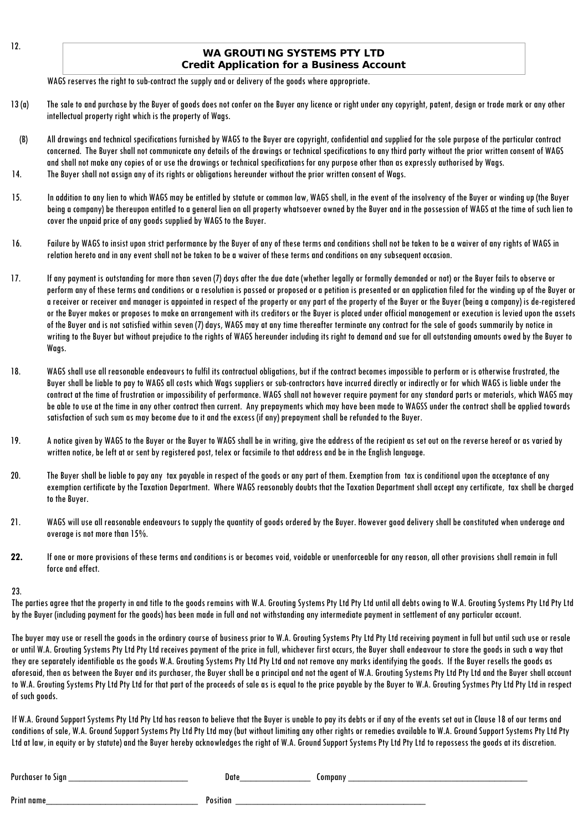## **WA GROUTING SYSTEMS PTY LTD Credit Application for a Business Account**

WAGS reserves the right to sub-contract the supply and or delivery of the goods where appropriate.

- 13 (a) The sale to and purchase by the Buyer of goods does not confer on the Buyer any licence or right under any copyright, patent, design or trade mark or any other intellectual property right which is the property of Wags.
- (B) All drawings and technical specifications furnished by WAGS to the Buyer are copyright, confidential and supplied for the sole purpose of the particular contract concerned. The Buyer shall not communicate any details of the drawings or technical specifications to any third party without the prior written consent of WAGS and shall not make any copies of or use the drawings or technical specifications for any purpose other than as expressly authorised by Wags. 14. The Buyer shall not assign any of its rights or obligations hereunder without the prior written consent of Wags.
- 15. In addition to any lien to which WAGS may be entitled by statute or common law, WAGS shall, in the event of the insolvency of the Buyer or winding up (the Buyer being a company) be thereupon entitled to a general lien on all property whatsoever owned by the Buyer and in the possession of WAGS at the time of such lien to cover the unpaid price of any goods supplied by WAGS to the Buyer.
- 16. Failure by WAGS to insist upon strict performance by the Buyer of any of these terms and conditions shall not be taken to be a waiver of any rights of WAGS in relation hereto and in any event shall not be taken to be a waiver of these terms and conditions on any subsequent occasion.
- 17. If any payment is outstanding for more than seven (7) days after the due date (whether legally or formally demanded or not) or the Buyer fails to observe or perform any of these terms and conditions or a resolution is passed or proposed or a petition is presented or an application filed for the winding up of the Buyer or a receiver or receiver and manager is appointed in respect of the property or any part of the property of the Buyer or the Buyer (being a company) is de-registered or the Buyer makes or proposes to make an arrangement with its creditors or the Buyer is placed under official management or execution is levied upon the assets of the Buyer and is not satisfied within seven (7) days, WAGS may at any time thereafter terminate any contract for the sale of goods summarily by notice in writing to the Buyer but without prejudice to the rights of WAGS hereunder including its right to demand and sue for all outstanding amounts owed by the Buyer to Wags.
- 18. WAGS shall use all reasonable endeavours to fulfil its contractual obligations, but if the contract becomes impossible to perform or is otherwise frustrated, the Buyer shall be liable to pay to WAGS all costs which Wags suppliers or sub-contractors have incurred directly or indirectly or for which WAGS is liable under the contract at the time of frustration or impossibility of performance. WAGS shall not however require payment for any standard parts or materials, which WAGS may be able to use at the time in any other contract then current. Any prepayments which may have been made to WAGSS under the contract shall be applied towards satisfaction of such sum as may become due to it and the excess (if any) prepayment shall be refunded to the Buyer.
- 19. A notice given by WAGS to the Buyer or the Buyer to WAGS shall be in writing, give the address of the recipient as set out on the reverse hereof or as varied by written notice, be left at or sent by registered post, telex or facsimile to that address and be in the English language.
- 20. The Buyer shall be liable to pay any tax payable in respect of the goods or any part of them. Exemption from tax is conditional upon the acceptance of any exemption certificate by the Taxation Department. Where WAGS reasonably doubts that the Taxation Department shall accept any certificate, tax shall be charged to the Buyer.
- 21. WAGS will use all reasonable endeavours to supply the quantity of goods ordered by the Buyer. However good delivery shall be constituted when underage and overage is not more than 15%.
- **22.** If one or more provisions of these terms and conditions is or becomes void, voidable or unenforceable for any reason, all other provisions shall remain in full force and effect.

## 23.

The parties agree that the property in and title to the goods remains with W.A. Grouting Systems Pty Ltd Pty Ltd until all debts owing to W.A. Grouting Systems Pty Ltd Pty Ltd by the Buyer (including payment for the goods) has been made in full and not withstanding any intermediate payment in settlement of any particular account.

The buyer may use or resell the goods in the ordinary course of business prior to W.A. Grouting Systems Pty Ltd Pty Ltd receiving payment in full but until such use or resale or until W.A. Grouting Systems Pty Ltd Pty Ltd receives payment of the price in full, whichever first occurs, the Buyer shall endeavour to store the goods in such a way that they are separately identifiable as the goods W.A. Grouting Systems Pty Ltd Pty Ltd and not remove any marks identifying the goods. If the Buyer resells the goods as aforesaid, then as between the Buyer and its purchaser, the Buyer shall be a principal and not the agent of W.A. Grouting Systems Pty Ltd Pty Ltd and the Buyer shall account to W.A. Grouting Systems Pty Ltd Pty Ltd for that part of the proceeds of sale as is equal to the price payable by the Buyer to W.A. Grouting Systmes Pty Ltd Pty Ltd in respect of such goods.

If W.A. Ground Support Systems Pty Ltd Pty Ltd has reason to believe that the Buyer is unable to pay its debts or if any of the events set out in Clause 18 of our terms and conditions of sale, W.A. Ground Support Systems Pty Ltd Pty Ltd may (but without limiting any other rights or remedies available to W.A. Ground Support Systems Pty Ltd Pty Ltd at law, in equity or by statute) and the Buyer hereby acknowledges the right of W.A. Ground Support Systems Pty Ltd Pty Ltd to repossess the goods at its discretion.

| Purchaser<br>Sign<br>TO. | Date     | company |
|--------------------------|----------|---------|
| Print name               | Position |         |